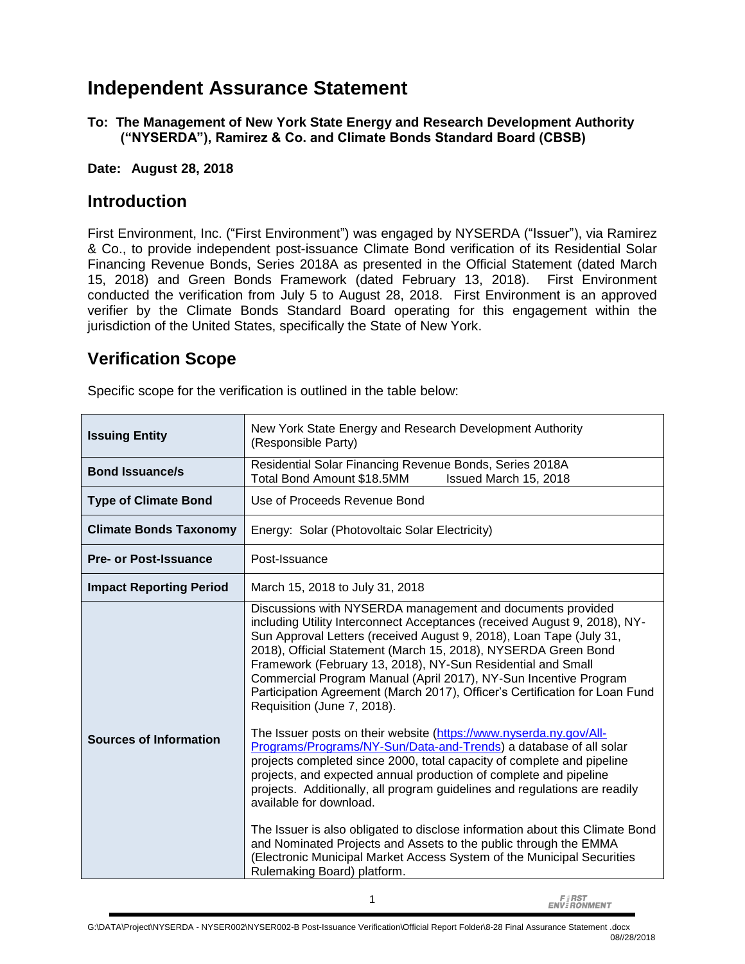## **Independent Assurance Statement**

**To: The Management of New York State Energy and Research Development Authority ("NYSERDA"), Ramirez & Co. and Climate Bonds Standard Board (CBSB)**

**Date: August 28, 2018**

#### **Introduction**

First Environment, Inc. ("First Environment") was engaged by NYSERDA ("Issuer"), via Ramirez & Co., to provide independent post-issuance Climate Bond verification of its Residential Solar Financing Revenue Bonds, Series 2018A as presented in the Official Statement (dated March 15, 2018) and Green Bonds Framework (dated February 13, 2018). First Environment conducted the verification from July 5 to August 28, 2018. First Environment is an approved verifier by the Climate Bonds Standard Board operating for this engagement within the jurisdiction of the United States, specifically the State of New York.

### **Verification Scope**

Specific scope for the verification is outlined in the table below:

| <b>Issuing Entity</b>          | New York State Energy and Research Development Authority<br>(Responsible Party)                                                                                                                                                                                                                                                                                                                                                                                                                                                                                                                                                                                                                                                                                                                                                                                                                                                                                                                                                                                                          |
|--------------------------------|------------------------------------------------------------------------------------------------------------------------------------------------------------------------------------------------------------------------------------------------------------------------------------------------------------------------------------------------------------------------------------------------------------------------------------------------------------------------------------------------------------------------------------------------------------------------------------------------------------------------------------------------------------------------------------------------------------------------------------------------------------------------------------------------------------------------------------------------------------------------------------------------------------------------------------------------------------------------------------------------------------------------------------------------------------------------------------------|
| <b>Bond Issuance/s</b>         | Residential Solar Financing Revenue Bonds, Series 2018A<br>Total Bond Amount \$18.5MM<br>Issued March 15, 2018                                                                                                                                                                                                                                                                                                                                                                                                                                                                                                                                                                                                                                                                                                                                                                                                                                                                                                                                                                           |
| <b>Type of Climate Bond</b>    | Use of Proceeds Revenue Bond                                                                                                                                                                                                                                                                                                                                                                                                                                                                                                                                                                                                                                                                                                                                                                                                                                                                                                                                                                                                                                                             |
| <b>Climate Bonds Taxonomy</b>  | Energy: Solar (Photovoltaic Solar Electricity)                                                                                                                                                                                                                                                                                                                                                                                                                                                                                                                                                                                                                                                                                                                                                                                                                                                                                                                                                                                                                                           |
| <b>Pre- or Post-Issuance</b>   | Post-Issuance                                                                                                                                                                                                                                                                                                                                                                                                                                                                                                                                                                                                                                                                                                                                                                                                                                                                                                                                                                                                                                                                            |
| <b>Impact Reporting Period</b> | March 15, 2018 to July 31, 2018                                                                                                                                                                                                                                                                                                                                                                                                                                                                                                                                                                                                                                                                                                                                                                                                                                                                                                                                                                                                                                                          |
| <b>Sources of Information</b>  | Discussions with NYSERDA management and documents provided<br>including Utility Interconnect Acceptances (received August 9, 2018), NY-<br>Sun Approval Letters (received August 9, 2018), Loan Tape (July 31,<br>2018), Official Statement (March 15, 2018), NYSERDA Green Bond<br>Framework (February 13, 2018), NY-Sun Residential and Small<br>Commercial Program Manual (April 2017), NY-Sun Incentive Program<br>Participation Agreement (March 2017), Officer's Certification for Loan Fund<br>Requisition (June 7, 2018).<br>The Issuer posts on their website (https://www.nyserda.ny.gov/All-<br>Programs/Programs/NY-Sun/Data-and-Trends) a database of all solar<br>projects completed since 2000, total capacity of complete and pipeline<br>projects, and expected annual production of complete and pipeline<br>projects. Additionally, all program guidelines and regulations are readily<br>available for download.<br>The Issuer is also obligated to disclose information about this Climate Bond<br>and Nominated Projects and Assets to the public through the EMMA |
|                                | (Electronic Municipal Market Access System of the Municipal Securities<br>Rulemaking Board) platform.                                                                                                                                                                                                                                                                                                                                                                                                                                                                                                                                                                                                                                                                                                                                                                                                                                                                                                                                                                                    |

**FIRST**<br>ENVIRONMENT

1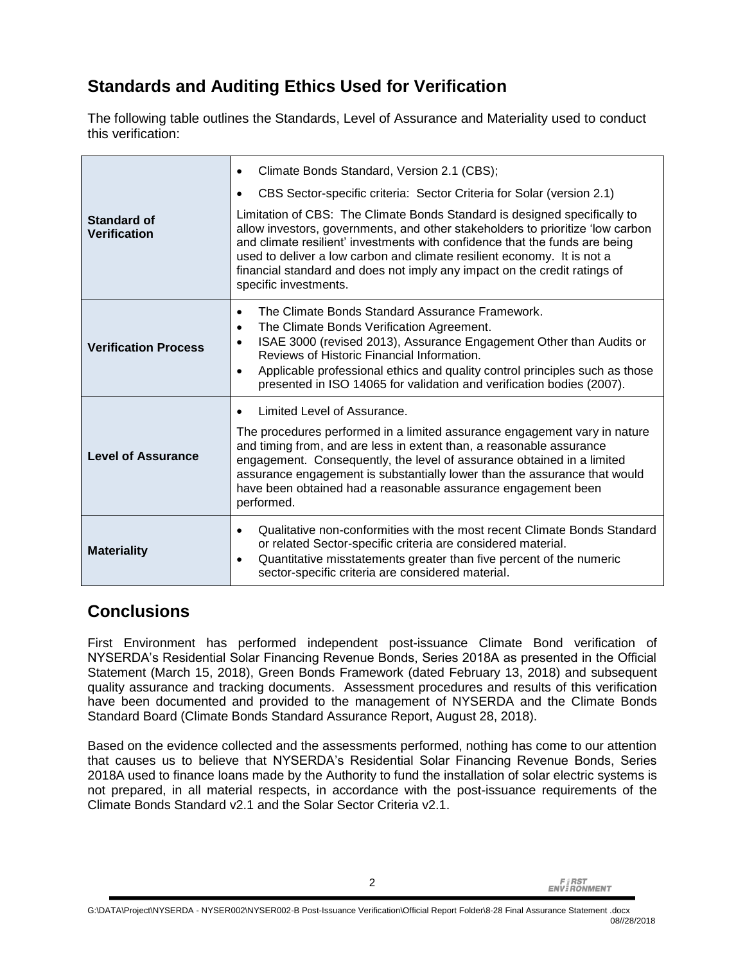# **Standards and Auditing Ethics Used for Verification**

The following table outlines the Standards, Level of Assurance and Materiality used to conduct this verification:

|                                    | Climate Bonds Standard, Version 2.1 (CBS);<br>$\bullet$                                                                                                                                                                                                                                                                                                                                                                       |
|------------------------------------|-------------------------------------------------------------------------------------------------------------------------------------------------------------------------------------------------------------------------------------------------------------------------------------------------------------------------------------------------------------------------------------------------------------------------------|
|                                    | CBS Sector-specific criteria: Sector Criteria for Solar (version 2.1)                                                                                                                                                                                                                                                                                                                                                         |
| Standard of<br><b>Verification</b> | Limitation of CBS: The Climate Bonds Standard is designed specifically to<br>allow investors, governments, and other stakeholders to prioritize 'low carbon<br>and climate resilient' investments with confidence that the funds are being<br>used to deliver a low carbon and climate resilient economy. It is not a<br>financial standard and does not imply any impact on the credit ratings of<br>specific investments.   |
| <b>Verification Process</b>        | The Climate Bonds Standard Assurance Framework.<br>$\bullet$<br>The Climate Bonds Verification Agreement.<br>$\bullet$<br>ISAE 3000 (revised 2013), Assurance Engagement Other than Audits or<br>$\bullet$<br>Reviews of Historic Financial Information.<br>Applicable professional ethics and quality control principles such as those<br>$\bullet$<br>presented in ISO 14065 for validation and verification bodies (2007). |
|                                    | Limited Level of Assurance.                                                                                                                                                                                                                                                                                                                                                                                                   |
| <b>Level of Assurance</b>          | The procedures performed in a limited assurance engagement vary in nature<br>and timing from, and are less in extent than, a reasonable assurance<br>engagement. Consequently, the level of assurance obtained in a limited<br>assurance engagement is substantially lower than the assurance that would<br>have been obtained had a reasonable assurance engagement been<br>performed.                                       |
| <b>Materiality</b>                 | Qualitative non-conformities with the most recent Climate Bonds Standard<br>$\bullet$<br>or related Sector-specific criteria are considered material.<br>Quantitative misstatements greater than five percent of the numeric<br>$\bullet$<br>sector-specific criteria are considered material.                                                                                                                                |

### **Conclusions**

First Environment has performed independent post-issuance Climate Bond verification of NYSERDA's Residential Solar Financing Revenue Bonds, Series 2018A as presented in the Official Statement (March 15, 2018), Green Bonds Framework (dated February 13, 2018) and subsequent quality assurance and tracking documents. Assessment procedures and results of this verification have been documented and provided to the management of NYSERDA and the Climate Bonds Standard Board (Climate Bonds Standard Assurance Report, August 28, 2018).

Based on the evidence collected and the assessments performed, nothing has come to our attention that causes us to believe that NYSERDA's Residential Solar Financing Revenue Bonds, Series 2018A used to finance loans made by the Authority to fund the installation of solar electric systems is not prepared, in all material respects, in accordance with the post-issuance requirements of the Climate Bonds Standard v2.1 and the Solar Sector Criteria v2.1.